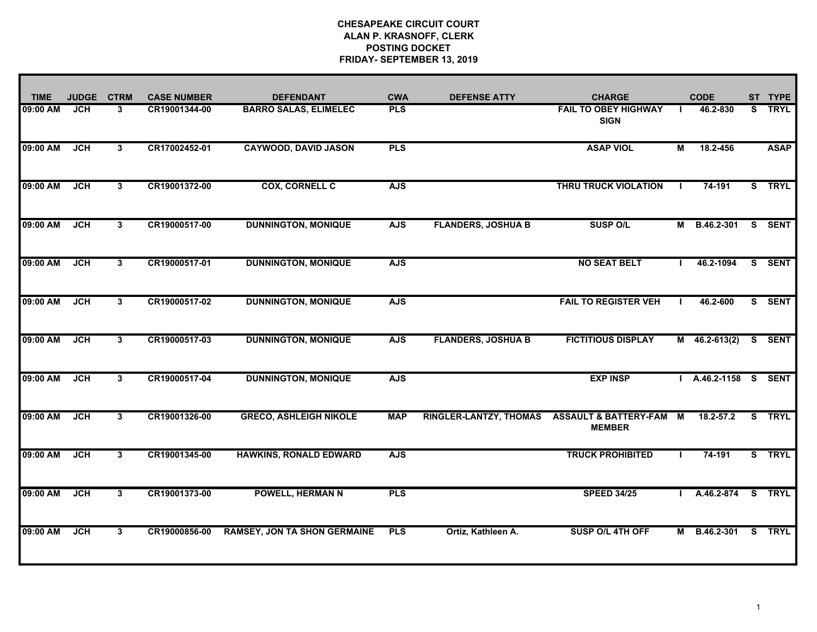| <b>TIME</b> | <b>JUDGE</b> | <b>CTRM</b>  | <b>CASE NUMBER</b> | <b>DEFENDANT</b>                    | <b>CWA</b> | <b>DEFENSE ATTY</b>           | <b>CHARGE</b>                                     |    | <b>CODE</b>          |    | ST TYPE     |
|-------------|--------------|--------------|--------------------|-------------------------------------|------------|-------------------------------|---------------------------------------------------|----|----------------------|----|-------------|
| 09:00 AM    | JCH          | 3            | CR19001344-00      | <b>BARRO SALAS, ELIMELEC</b>        | <b>PLS</b> |                               | <b>FAIL TO OBEY HIGHWAY</b><br><b>SIGN</b>        | л. | 46.2-830             | S. | <b>TRYL</b> |
| 09:00 AM    | <b>JCH</b>   | 3            | CR17002452-01      | <b>CAYWOOD, DAVID JASON</b>         | <b>PLS</b> |                               | <b>ASAP VIOL</b>                                  | М  | 18.2-456             |    | <b>ASAP</b> |
| 09:00 AM    | <b>JCH</b>   | $3^{\circ}$  | CR19001372-00      | <b>COX, CORNELL C</b>               | <b>AJS</b> |                               | <b>THRU TRUCK VIOLATION</b>                       |    | 74-191               |    | S TRYL      |
| 09:00 AM    | JCH          | $\mathbf{3}$ | CR19000517-00      | <b>DUNNINGTON, MONIQUE</b>          | <b>AJS</b> | <b>FLANDERS, JOSHUA B</b>     | <b>SUSP O/L</b>                                   | М  | B.46.2-301           |    | S SENT      |
| 09:00 AM    | <b>JCH</b>   | $\mathbf{3}$ | CR19000517-01      | <b>DUNNINGTON, MONIQUE</b>          | <b>AJS</b> |                               | <b>NO SEAT BELT</b>                               |    | 46.2-1094            |    | S SENT      |
| 09:00 AM    | <b>JCH</b>   | $\mathbf{3}$ | CR19000517-02      | <b>DUNNINGTON, MONIQUE</b>          | <b>AJS</b> |                               | <b>FAIL TO REGISTER VEH</b>                       |    | 46.2-600             |    | S SENT      |
| 09:00 AM    | <b>JCH</b>   | 3            | CR19000517-03      | <b>DUNNINGTON, MONIQUE</b>          | <b>AJS</b> | <b>FLANDERS, JOSHUA B</b>     | <b>FICTITIOUS DISPLAY</b>                         |    | $M$ 46.2-613(2)      |    | S SENT      |
| 09:00 AM    | JCH          | 3            | CR19000517-04      | <b>DUNNINGTON, MONIQUE</b>          | <b>AJS</b> |                               | <b>EXP INSP</b>                                   |    | I A.46.2-1158 S SENT |    |             |
| 09:00 AM    | JCH          | 3            | CR19001326-00      | <b>GRECO, ASHLEIGH NIKOLE</b>       | <b>MAP</b> | <b>RINGLER-LANTZY, THOMAS</b> | <b>ASSAULT &amp; BATTERY-FAM</b><br><b>MEMBER</b> | M  | 18.2-57.2            |    | S TRYL      |
| 09:00 AM    | <b>JCH</b>   | 3            | CR19001345-00      | <b>HAWKINS, RONALD EDWARD</b>       | <b>AJS</b> |                               | <b>TRUCK PROHIBITED</b>                           |    | 74-191               |    | S TRYL      |
| 09:00 AM    | JCH          | 3            | CR19001373-00      | <b>POWELL, HERMAN N</b>             | <b>PLS</b> |                               | <b>SPEED 34/25</b>                                |    | A.46.2-874           |    | S TRYL      |
| 09:00 AM    | <b>JCH</b>   | 3            | CR19000856-00      | <b>RAMSEY, JON TA SHON GERMAINE</b> | <b>PLS</b> | Ortiz, Kathleen A.            | SUSP O/L 4TH OFF                                  | M  | B.46.2-301 S TRYL    |    |             |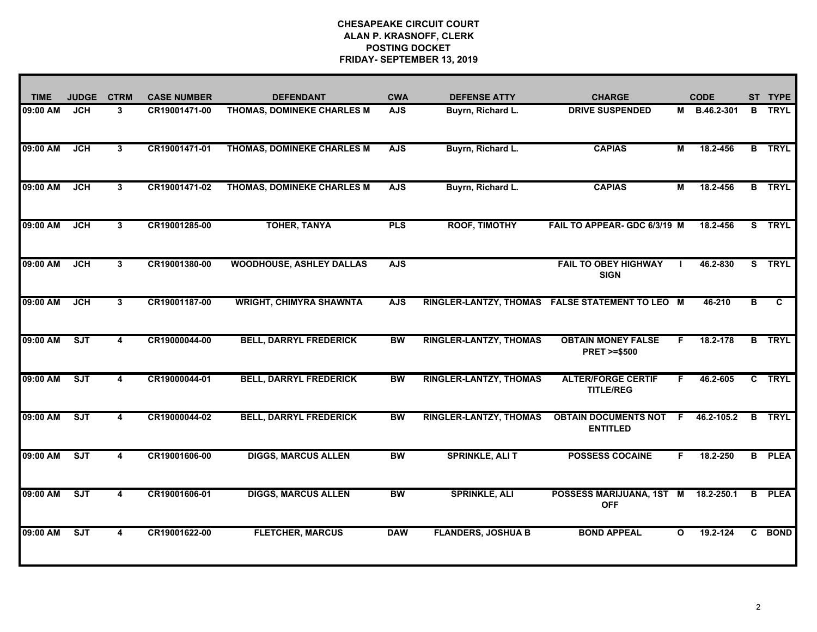| <b>TIME</b> | <b>JUDGE</b> | <b>CTRM</b>             | <b>CASE NUMBER</b> | <b>DEFENDANT</b>                | <b>CWA</b> | <b>DEFENSE ATTY</b>           | <b>CHARGE</b>                                       |              | <b>CODE</b>  |              | ST TYPE       |
|-------------|--------------|-------------------------|--------------------|---------------------------------|------------|-------------------------------|-----------------------------------------------------|--------------|--------------|--------------|---------------|
| 09:00 AM    | <b>JCH</b>   | 3                       | CR19001471-00      | THOMAS, DOMINEKE CHARLES M      | <b>AJS</b> | Buyrn, Richard L.             | <b>DRIVE SUSPENDED</b>                              |              | M B.46.2-301 |              | <b>B</b> TRYL |
| 09:00 AM    | <b>JCH</b>   | 3                       | CR19001471-01      | THOMAS, DOMINEKE CHARLES M      | <b>AJS</b> | Buyrn, Richard L.             | <b>CAPIAS</b>                                       | М            | 18.2-456     |              | <b>B</b> TRYL |
| 09:00 AM    | JCH          | 3                       | CR19001471-02      | THOMAS, DOMINEKE CHARLES M      | <b>AJS</b> | Buyrn, Richard L.             | <b>CAPIAS</b>                                       | М            | 18.2-456     |              | <b>B</b> TRYL |
| 09:00 AM    | JCH          | $\mathbf{3}$            | CR19001285-00      | <b>TOHER, TANYA</b>             | PLS        | <b>ROOF, TIMOTHY</b>          | FAIL TO APPEAR- GDC 6/3/19 M                        |              | 18.2-456     |              | S TRYL        |
| 09:00 AM    | JCH          | 3                       | CR19001380-00      | <b>WOODHOUSE, ASHLEY DALLAS</b> | <b>AJS</b> |                               | <b>FAIL TO OBEY HIGHWAY</b><br><b>SIGN</b>          |              | 46.2-830     |              | S TRYL        |
| 09:00 AM    | JCH          | 3                       | CR19001187-00      | <b>WRIGHT, CHIMYRA SHAWNTA</b>  | <b>AJS</b> |                               | RINGLER-LANTZY, THOMAS FALSE STATEMENT TO LEO M     |              | 46-210       | в            | C             |
| 09:00 AM    | ST           | 4                       | CR19000044-00      | <b>BELL, DARRYL FREDERICK</b>   | <b>BW</b>  | <b>RINGLER-LANTZY, THOMAS</b> | <b>OBTAIN MONEY FALSE</b><br><b>PRET &gt;=\$500</b> | F.           | 18.2-178     | B            | <b>TRYL</b>   |
| 09:00 AM    | ST           | 4                       | CR19000044-01      | <b>BELL, DARRYL FREDERICK</b>   | <b>BW</b>  | <b>RINGLER-LANTZY, THOMAS</b> | <b>ALTER/FORGE CERTIF</b><br><b>TITLE/REG</b>       | F.           | 46.2-605     | $\mathbf{c}$ | <b>TRYL</b>   |
| 09:00 AM    | SJT          | 4                       | CR19000044-02      | <b>BELL, DARRYL FREDERICK</b>   | <b>BW</b>  | <b>RINGLER-LANTZY, THOMAS</b> | <b>OBTAIN DOCUMENTS NOT</b><br><b>ENTITLED</b>      | - F          | 46.2-105.2   |              | <b>B</b> TRYL |
| 09:00 AM    | ST           | 4                       | CR19001606-00      | <b>DIGGS, MARCUS ALLEN</b>      | <b>BW</b>  | <b>SPRINKLE, ALI T</b>        | <b>POSSESS COCAINE</b>                              | F.           | 18.2-250     |              | <b>B</b> PLEA |
| 09:00 AM    | ST           | $\overline{\mathbf{4}}$ | CR19001606-01      | <b>DIGGS, MARCUS ALLEN</b>      | <b>BW</b>  | <b>SPRINKLE, ALI</b>          | POSSESS MARIJUANA, 1ST M<br><b>OFF</b>              |              | 18.2-250.1   |              | <b>B</b> PLEA |
| 09:00 AM    | ST           | 4                       | CR19001622-00      | <b>FLETCHER, MARCUS</b>         | <b>DAW</b> | <b>FLANDERS, JOSHUA B</b>     | <b>BOND APPEAL</b>                                  | $\mathbf{o}$ | 19.2-124     |              | C BOND        |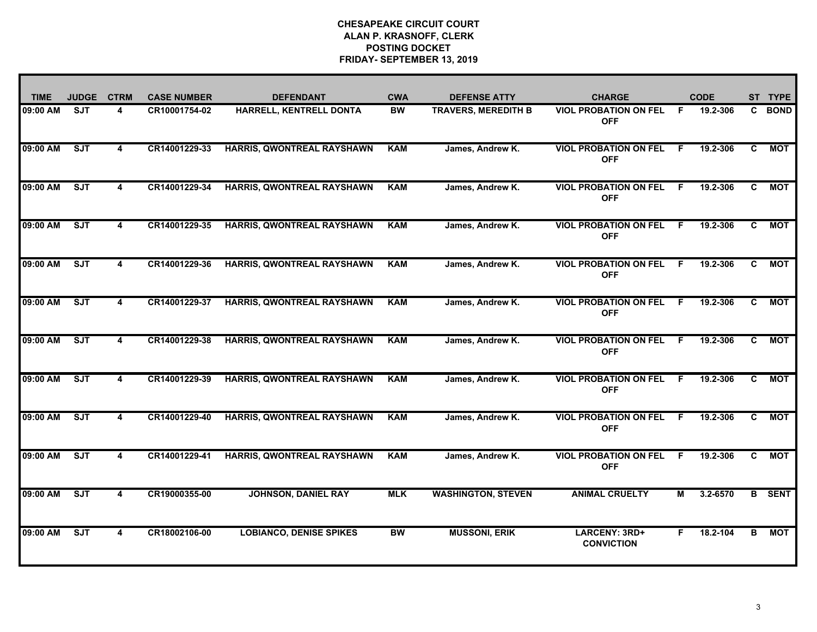| <b>TIME</b> | <b>JUDGE</b> | <b>CTRM</b>             | <b>CASE NUMBER</b> | <b>DEFENDANT</b>                  | <b>CWA</b> | <b>DEFENSE ATTY</b>        | <b>CHARGE</b>                              |    | <b>CODE</b> | <b>ST</b> | <b>TYPE</b>   |
|-------------|--------------|-------------------------|--------------------|-----------------------------------|------------|----------------------------|--------------------------------------------|----|-------------|-----------|---------------|
| 09:00 AM    | <b>SJT</b>   | 4                       | CR10001754-02      | HARRELL, KENTRELL DONTA           | <b>BW</b>  | <b>TRAVERS, MEREDITH B</b> | <b>VIOL PROBATION ON FEL</b><br><b>OFF</b> | F. | 19.2-306    | C.        | <b>BOND</b>   |
| 09:00 AM    | ST           | $\overline{\mathbf{4}}$ | CR14001229-33      | HARRIS, QWONTREAL RAYSHAWN        | <b>KAM</b> | James, Andrew K.           | <b>VIOL PROBATION ON FEL</b><br><b>OFF</b> | F. | 19.2-306    | C         | <b>MOT</b>    |
| 09:00 AM    | SJT          | $\overline{\mathbf{4}}$ | CR14001229-34      | HARRIS, QWONTREAL RAYSHAWN        | <b>KAM</b> | James, Andrew K.           | <b>VIOL PROBATION ON FEL</b><br><b>OFF</b> | -F | 19.2-306    | C         | <b>MOT</b>    |
| 09:00 AM    | SJT          | 4                       | CR14001229-35      | HARRIS, QWONTREAL RAYSHAWN        | <b>KAM</b> | James, Andrew K.           | <b>VIOL PROBATION ON FEL</b><br><b>OFF</b> | -F | 19.2-306    | C         | <b>MOT</b>    |
| 09:00 AM    | ST           | 4                       | CR14001229-36      | <b>HARRIS, QWONTREAL RAYSHAWN</b> | <b>KAM</b> | James, Andrew K.           | <b>VIOL PROBATION ON FEL</b><br><b>OFF</b> | -F | 19.2-306    | C.        | <b>MOT</b>    |
| 09:00 AM    | ST           | 4                       | CR14001229-37      | HARRIS, QWONTREAL RAYSHAWN        | <b>KAM</b> | James, Andrew K.           | <b>VIOL PROBATION ON FEL</b><br><b>OFF</b> | -F | 19.2-306    | C.        | <b>MOT</b>    |
| 09:00 AM    | ST           | 4                       | CR14001229-38      | <b>HARRIS, QWONTREAL RAYSHAWN</b> | <b>KAM</b> | James, Andrew K.           | <b>VIOL PROBATION ON FEL</b><br><b>OFF</b> | F. | 19.2-306    | C.        | <b>MOT</b>    |
| 09:00 AM    | ST           | 4                       | CR14001229-39      | HARRIS, QWONTREAL RAYSHAWN        | <b>KAM</b> | James, Andrew K.           | <b>VIOL PROBATION ON FEL</b><br><b>OFF</b> | -F | 19.2-306    | C.        | <b>MOT</b>    |
| 09:00 AM    | SJT          | 4                       | CR14001229-40      | HARRIS, QWONTREAL RAYSHAWN        | <b>KAM</b> | James, Andrew K.           | <b>VIOL PROBATION ON FEL</b><br><b>OFF</b> | -F | 19.2-306    | C.        | <b>MOT</b>    |
| 09:00 AM    | ST           | 4                       | CR14001229-41      | <b>HARRIS, QWONTREAL RAYSHAWN</b> | <b>KAM</b> | James, Andrew K.           | <b>VIOL PROBATION ON FEL</b><br><b>OFF</b> | -F | 19.2-306    | C.        | <b>MOT</b>    |
| 09:00 AM    | SJT          | 4                       | CR19000355-00      | <b>JOHNSON, DANIEL RAY</b>        | <b>MLK</b> | <b>WASHINGTON, STEVEN</b>  | <b>ANIMAL CRUELTY</b>                      | М  | 3.2-6570    |           | <b>B</b> SENT |
| 09:00 AM    | ST           | 4                       | CR18002106-00      | <b>LOBIANCO, DENISE SPIKES</b>    | <b>BW</b>  | <b>MUSSONI, ERIK</b>       | LARCENY: 3RD+<br><b>CONVICTION</b>         | F. | 18.2-104    | В         | <b>MOT</b>    |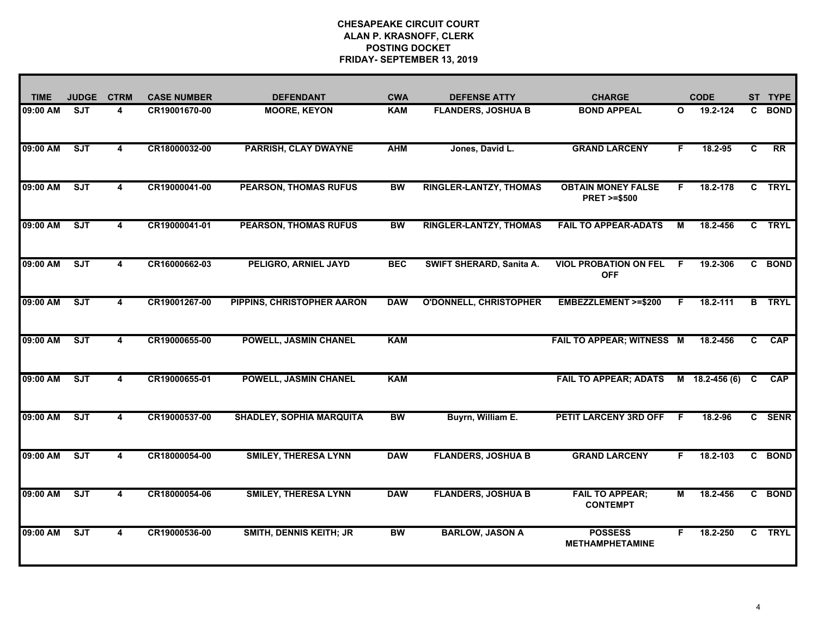| <b>TIME</b> | <b>JUDGE</b>            | <b>CTRM</b> | <b>CASE NUMBER</b> | <b>DEFENDANT</b>                | <b>CWA</b> | <b>DEFENSE ATTY</b>             | <b>CHARGE</b>                                       |              | <b>CODE</b>    | <b>ST</b>    | <b>TYPE</b>   |
|-------------|-------------------------|-------------|--------------------|---------------------------------|------------|---------------------------------|-----------------------------------------------------|--------------|----------------|--------------|---------------|
| 09:00 AM    | <b>SJT</b>              | 4           | CR19001670-00      | <b>MOORE, KEYON</b>             | <b>KAM</b> | <b>FLANDERS, JOSHUA B</b>       | <b>BOND APPEAL</b>                                  | $\mathbf{o}$ | 19.2-124       | C.           | <b>BOND</b>   |
| 09:00 AM    | ST                      | 4           | CR18000032-00      | <b>PARRISH, CLAY DWAYNE</b>     | <b>AHM</b> | Jones, David L.                 | <b>GRAND LARCENY</b>                                | F            | 18.2-95        | C            | RR            |
| 09:00 AM    | SJT                     | 4           | CR19000041-00      | <b>PEARSON, THOMAS RUFUS</b>    | <b>BW</b>  | <b>RINGLER-LANTZY, THOMAS</b>   | <b>OBTAIN MONEY FALSE</b><br><b>PRET &gt;=\$500</b> | F.           | 18.2-178       | $\mathbf{C}$ | <b>TRYL</b>   |
| 09:00 AM    | ST                      | 4           | CR19000041-01      | <b>PEARSON, THOMAS RUFUS</b>    | <b>BW</b>  | <b>RINGLER-LANTZY, THOMAS</b>   | <b>FAIL TO APPEAR-ADATS</b>                         | м            | 18.2-456       |              | C TRYL        |
| 09:00 AM    | <b>SJT</b>              | 4           | CR16000662-03      | <b>PELIGRO, ARNIEL JAYD</b>     | <b>BEC</b> | <b>SWIFT SHERARD, Sanita A.</b> | <b>VIOL PROBATION ON FEL</b><br><b>OFF</b>          | F.           | 19.2-306       |              | C BOND        |
| 09:00 AM    | SJT                     | 4           | CR19001267-00      | PIPPINS, CHRISTOPHER AARON      | <b>DAW</b> | <b>O'DONNELL, CHRISTOPHER</b>   | <b>EMBEZZLEMENT &gt;=\$200</b>                      | F            | 18.2-111       |              | <b>B</b> TRYL |
| 09:00 AM    | <b>SJT</b>              | 4           | CR19000655-00      | <b>POWELL, JASMIN CHANEL</b>    | <b>KAM</b> |                                 | <b>FAIL TO APPEAR; WITNESS M</b>                    |              | 18.2-456       | C            | <b>CAP</b>    |
| 09:00 AM    | $\overline{\text{SJT}}$ | 4           | CR19000655-01      | POWELL, JASMIN CHANEL           | <b>KAM</b> |                                 | <b>FAIL TO APPEAR; ADATS</b>                        |              | M 18.2-456 (6) | C            | <b>CAP</b>    |
| 09:00 AM    | ST                      | 4           | CR19000537-00      | <b>SHADLEY, SOPHIA MARQUITA</b> | <b>BW</b>  | Buyrn, William E.               | <b>PETIT LARCENY 3RD OFF</b>                        | -F           | 18.2-96        |              | C SENR        |
| 09:00 AM    | ST                      | 4           | CR18000054-00      | <b>SMILEY, THERESA LYNN</b>     | <b>DAW</b> | <b>FLANDERS, JOSHUA B</b>       | <b>GRAND LARCENY</b>                                | F            | 18.2-103       | C.           | <b>BOND</b>   |
| 09:00 AM    | <b>SJT</b>              | 4           | CR18000054-06      | <b>SMILEY, THERESA LYNN</b>     | <b>DAW</b> | <b>FLANDERS, JOSHUA B</b>       | <b>FAIL TO APPEAR;</b><br><b>CONTEMPT</b>           | м            | 18.2-456       |              | C BOND        |
| 09:00 AM    | <b>SJT</b>              | 4           | CR19000536-00      | <b>SMITH, DENNIS KEITH; JR</b>  | <b>BW</b>  | <b>BARLOW, JASON A</b>          | <b>POSSESS</b><br><b>METHAMPHETAMINE</b>            | F.           | 18.2-250       |              | C TRYL        |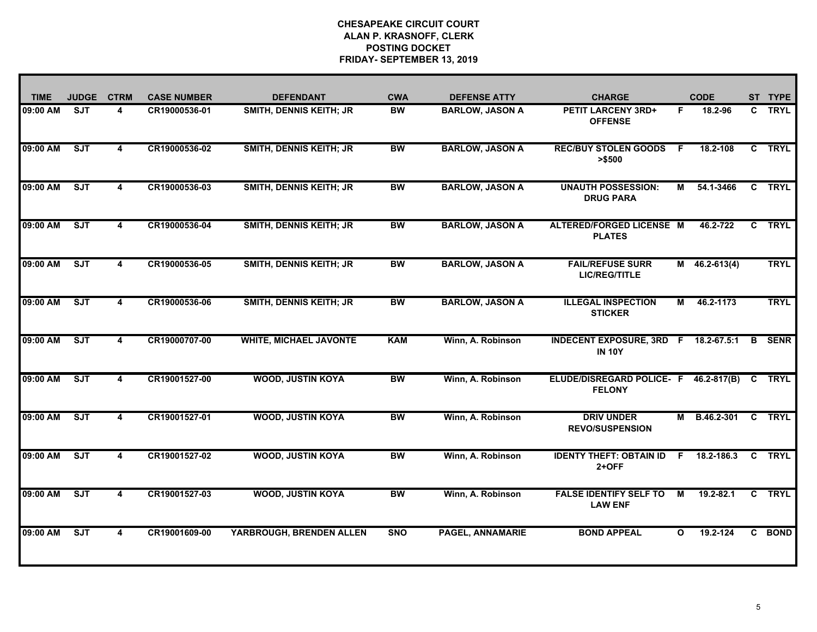| <b>TIME</b> | <b>JUDGE</b> | <b>CTRM</b>             | <b>CASE NUMBER</b> | <b>DEFENDANT</b>               | <b>CWA</b> | <b>DEFENSE ATTY</b>     | <b>CHARGE</b>                                          |              | <b>CODE</b>     |              | ST TYPE       |
|-------------|--------------|-------------------------|--------------------|--------------------------------|------------|-------------------------|--------------------------------------------------------|--------------|-----------------|--------------|---------------|
| 09:00 AM    | <b>SJT</b>   | 4                       | CR19000536-01      | <b>SMITH, DENNIS KEITH; JR</b> | <b>BW</b>  | <b>BARLOW, JASON A</b>  | <b>PETIT LARCENY 3RD+</b><br><b>OFFENSE</b>            | F.           | 18.2-96         |              | C TRYL        |
| 09:00 AM    | SJT          | 4                       | CR19000536-02      | <b>SMITH, DENNIS KEITH; JR</b> | <b>BW</b>  | <b>BARLOW, JASON A</b>  | <b>REC/BUY STOLEN GOODS</b><br>> \$500                 | - F          | 18.2-108        |              | C TRYL        |
| 09:00 AM    | SJT          | 4                       | CR19000536-03      | <b>SMITH, DENNIS KEITH; JR</b> | <b>BW</b>  | <b>BARLOW, JASON A</b>  | <b>UNAUTH POSSESSION:</b><br><b>DRUG PARA</b>          | М            | 54.1-3466       | $\mathbf{c}$ | <b>TRYL</b>   |
| 09:00 AM    | SJT          | $\overline{\mathbf{4}}$ | CR19000536-04      | <b>SMITH, DENNIS KEITH; JR</b> | <b>BW</b>  | <b>BARLOW, JASON A</b>  | ALTERED/FORGED LICENSE M<br><b>PLATES</b>              |              | 46.2-722        | $\mathbf{c}$ | <b>TRYL</b>   |
| 09:00 AM    | ST           | 4                       | CR19000536-05      | <b>SMITH, DENNIS KEITH; JR</b> | <b>BW</b>  | <b>BARLOW, JASON A</b>  | <b>FAIL/REFUSE SURR</b><br><b>LIC/REG/TITLE</b>        |              | $M$ 46.2-613(4) |              | <b>TRYL</b>   |
| 09:00 AM    | SJT          | 4                       | CR19000536-06      | <b>SMITH, DENNIS KEITH; JR</b> | <b>BW</b>  | <b>BARLOW, JASON A</b>  | <b>ILLEGAL INSPECTION</b><br><b>STICKER</b>            | M            | 46.2-1173       |              | <b>TRYL</b>   |
| 09:00 AM    | <b>SJT</b>   | 4                       | CR19000707-00      | <b>WHITE, MICHAEL JAVONTE</b>  | KAM        | Winn, A. Robinson       | INDECENT EXPOSURE, 3RD F 18.2-67.5:1<br><b>IN 10Y</b>  |              |                 | B            | <b>SENR</b>   |
| 09:00 AM    | ST           | 4                       | CR19001527-00      | <b>WOOD, JUSTIN KOYA</b>       | <b>BW</b>  | Winn, A. Robinson       | ELUDE/DISREGARD POLICE- F 46.2-817(B)<br><b>FELONY</b> |              |                 | $\mathbf{C}$ | <b>TRYL</b>   |
| 09:00 AM    | SJT          | 4                       | CR19001527-01      | <b>WOOD, JUSTIN KOYA</b>       | <b>BW</b>  | Winn, A. Robinson       | <b>DRIV UNDER</b><br><b>REVO/SUSPENSION</b>            | М            | B.46.2-301      |              | <b>C</b> TRYL |
| 09:00 AM    | SJT          | 4                       | CR19001527-02      | <b>WOOD, JUSTIN KOYA</b>       | <b>BW</b>  | Winn, A. Robinson       | <b>IDENTY THEFT: OBTAIN ID</b><br>$2+OFF$              |              | $F$ 18.2-186.3  |              | C TRYL        |
| 09:00 AM    | ST           | 4                       | CR19001527-03      | <b>WOOD, JUSTIN KOYA</b>       | <b>BW</b>  | Winn, A. Robinson       | <b>FALSE IDENTIFY SELF TO</b><br><b>LAW ENF</b>        | М            | 19.2-82.1       | C.           | <b>TRYL</b>   |
| 09:00 AM    | ST           | 4                       | CR19001609-00      | YARBROUGH, BRENDEN ALLEN       | <b>SNO</b> | <b>PAGEL, ANNAMARIE</b> | <b>BOND APPEAL</b>                                     | $\mathbf{o}$ | 19.2-124        |              | C BOND        |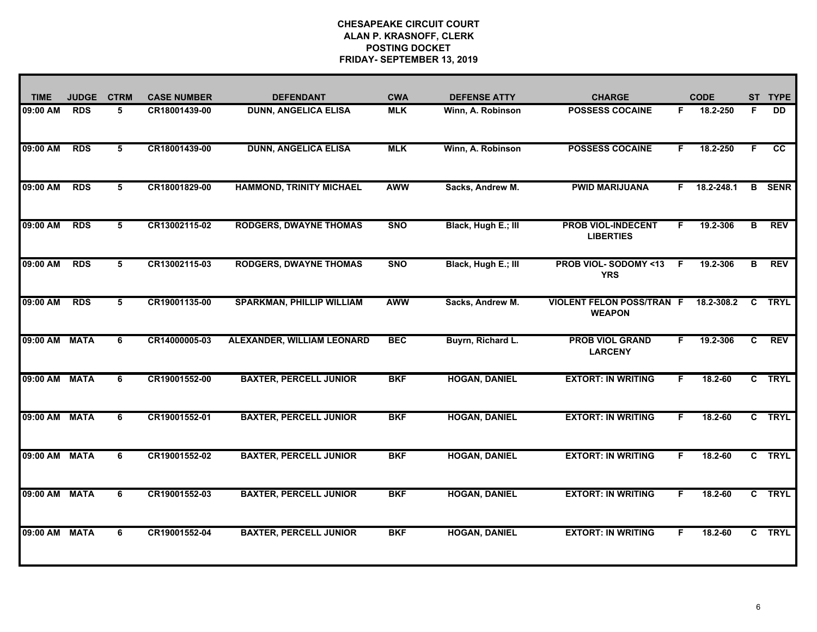| <b>TIME</b>   | <b>JUDGE</b> | <b>CTRM</b> | <b>CASE NUMBER</b> | <b>DEFENDANT</b>                 | <b>CWA</b> | <b>DEFENSE ATTY</b>  | <b>CHARGE</b>                                     |    | <b>CODE</b> |    | ST TYPE         |
|---------------|--------------|-------------|--------------------|----------------------------------|------------|----------------------|---------------------------------------------------|----|-------------|----|-----------------|
| 09:00 AM      | <b>RDS</b>   | 5           | CR18001439-00      | <b>DUNN, ANGELICA ELISA</b>      | <b>MLK</b> | Winn, A. Robinson    | <b>POSSESS COCAINE</b>                            | F. | 18.2-250    | F. | <b>DD</b>       |
| 09:00 AM      | <b>RDS</b>   | 5           | CR18001439-00      | <b>DUNN, ANGELICA ELISA</b>      | <b>MLK</b> | Winn, A. Robinson    | <b>POSSESS COCAINE</b>                            | F. | 18.2-250    | F. | $\overline{cc}$ |
| 09:00 AM      | <b>RDS</b>   | 5           | CR18001829-00      | <b>HAMMOND, TRINITY MICHAEL</b>  | <b>AWW</b> | Sacks, Andrew M.     | <b>PWID MARIJUANA</b>                             | F. | 18.2-248.1  | B  | <b>SENR</b>     |
| 09:00 AM      | <b>RDS</b>   | 5           | CR13002115-02      | <b>RODGERS, DWAYNE THOMAS</b>    | <b>SNO</b> | Black, Hugh E.; III  | <b>PROB VIOL-INDECENT</b><br><b>LIBERTIES</b>     | F. | 19.2-306    | B  | <b>REV</b>      |
| 09:00 AM      | <b>RDS</b>   | 5           | CR13002115-03      | <b>RODGERS, DWAYNE THOMAS</b>    | <b>SNO</b> | Black, Hugh E.; III  | <b>PROB VIOL-SODOMY &lt;13</b><br><b>YRS</b>      | F  | 19.2-306    | в  | <b>REV</b>      |
| 09:00 AM      | <b>RDS</b>   | 5           | CR19001135-00      | <b>SPARKMAN, PHILLIP WILLIAM</b> | <b>AWW</b> | Sacks, Andrew M.     | <b>VIOLENT FELON POSS/TRAN F</b><br><b>WEAPON</b> |    | 18.2-308.2  | C  | <b>TRYL</b>     |
| 09:00 AM      | <b>MATA</b>  | 6           | CR14000005-03      | ALEXANDER, WILLIAM LEONARD       | <b>BEC</b> | Buyrn, Richard L.    | <b>PROB VIOL GRAND</b><br><b>LARCENY</b>          | F. | 19.2-306    | C. | <b>REV</b>      |
| 09:00 AM      | <b>MATA</b>  | 6           | CR19001552-00      | <b>BAXTER, PERCELL JUNIOR</b>    | <b>BKF</b> | <b>HOGAN, DANIEL</b> | <b>EXTORT: IN WRITING</b>                         | F  | 18.2-60     |    | C TRYL          |
| 09:00 AM      | <b>MATA</b>  | 6           | CR19001552-01      | <b>BAXTER, PERCELL JUNIOR</b>    | <b>BKF</b> | <b>HOGAN, DANIEL</b> | <b>EXTORT: IN WRITING</b>                         | F. | $18.2 - 60$ |    | C TRYL          |
| 09:00 AM      | <b>MATA</b>  | 6           | CR19001552-02      | <b>BAXTER, PERCELL JUNIOR</b>    | <b>BKF</b> | <b>HOGAN, DANIEL</b> | <b>EXTORT: IN WRITING</b>                         | F. | $18.2 - 60$ |    | C TRYL          |
| 09:00 AM      | <b>MATA</b>  | 6           | CR19001552-03      | <b>BAXTER, PERCELL JUNIOR</b>    | <b>BKF</b> | <b>HOGAN, DANIEL</b> | <b>EXTORT: IN WRITING</b>                         | F. | 18.2-60     |    | C TRYL          |
| 09:00 AM MATA |              | 6           | CR19001552-04      | <b>BAXTER, PERCELL JUNIOR</b>    | <b>BKF</b> | <b>HOGAN, DANIEL</b> | <b>EXTORT: IN WRITING</b>                         | F. | $18.2 - 60$ |    | C TRYL          |
|               |              |             |                    |                                  |            |                      |                                                   |    |             |    |                 |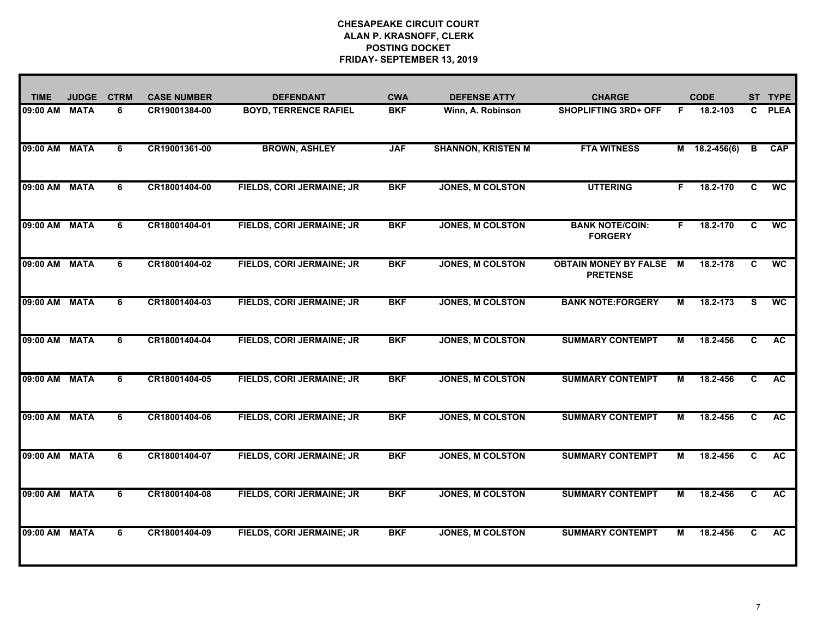| <b>TIME</b>   | <b>JUDGE</b> | <b>CTRM</b> | <b>CASE NUMBER</b> | <b>DEFENDANT</b>                 | <b>CWA</b> | <b>DEFENSE ATTY</b>       | <b>CHARGE</b>                                   |    | <b>CODE</b>     |                | ST TYPE     |
|---------------|--------------|-------------|--------------------|----------------------------------|------------|---------------------------|-------------------------------------------------|----|-----------------|----------------|-------------|
| 09:00 AM MATA |              | 6           | CR19001384-00      | <b>BOYD, TERRENCE RAFIEL</b>     | <b>BKF</b> | Winn, A. Robinson         | <b>SHOPLIFTING 3RD+ OFF</b>                     | F. | 18.2-103        | $\mathbf{C}$   | <b>PLEA</b> |
| 09:00 AM MATA |              | 6           | CR19001361-00      | <b>BROWN, ASHLEY</b>             | <b>JAF</b> | <b>SHANNON, KRISTEN M</b> | <b>FTA WITNESS</b>                              |    | $M$ 18.2-456(6) | В              | CAP         |
| 09:00 AM MATA |              | 6           | CR18001404-00      | FIELDS, CORI JERMAINE; JR        | <b>BKF</b> | <b>JONES, M COLSTON</b>   | <b>UTTERING</b>                                 | F. | 18.2-170        | $\overline{c}$ | <b>WC</b>   |
| 09:00 AM MATA |              | 6           | CR18001404-01      | FIELDS, CORI JERMAINE; JR        | <b>BKF</b> | <b>JONES, M COLSTON</b>   | <b>BANK NOTE/COIN:</b><br><b>FORGERY</b>        | F. | 18.2-170        | C              | <b>WC</b>   |
| 09:00 AM MATA |              | 6           | CR18001404-02      | <b>FIELDS, CORI JERMAINE; JR</b> | <b>BKF</b> | <b>JONES, M COLSTON</b>   | <b>OBTAIN MONEY BY FALSE</b><br><b>PRETENSE</b> | м  | 18.2-178        | C              | <b>WC</b>   |
| 09:00 AM MATA |              | 6           | CR18001404-03      | <b>FIELDS, CORI JERMAINE; JR</b> | <b>BKF</b> | <b>JONES, M COLSTON</b>   | <b>BANK NOTE:FORGERY</b>                        | м  | 18.2-173        | s              | <b>WC</b>   |
| 09:00 AM MATA |              | 6           | CR18001404-04      | <b>FIELDS, CORI JERMAINE; JR</b> | <b>BKF</b> | <b>JONES, M COLSTON</b>   | <b>SUMMARY CONTEMPT</b>                         | М  | 18.2-456        | C              | <b>AC</b>   |
| 09:00 AM MATA |              | 6           | CR18001404-05      | FIELDS, CORI JERMAINE; JR        | <b>BKF</b> | <b>JONES, M COLSTON</b>   | <b>SUMMARY CONTEMPT</b>                         | М  | 18.2-456        | C              | <b>AC</b>   |
| 09:00 AM MATA |              | 6           | CR18001404-06      | FIELDS, CORI JERMAINE; JR        | <b>BKF</b> | <b>JONES, M COLSTON</b>   | <b>SUMMARY CONTEMPT</b>                         | М  | 18.2-456        | C              | <b>AC</b>   |
| 09:00 AM MATA |              | 6           | CR18001404-07      | <b>FIELDS, CORI JERMAINE; JR</b> | <b>BKF</b> | <b>JONES, M COLSTON</b>   | <b>SUMMARY CONTEMPT</b>                         | М  | 18.2-456        | C              | <b>AC</b>   |
| 09:00 AM MATA |              | 6           | CR18001404-08      | FIELDS, CORI JERMAINE; JR        | <b>BKF</b> | <b>JONES, M COLSTON</b>   | <b>SUMMARY CONTEMPT</b>                         | м  | 18.2-456        | C              | <b>AC</b>   |
| 09:00 AM MATA |              | 6           | CR18001404-09      | <b>FIELDS, CORI JERMAINE; JR</b> | <b>BKF</b> | <b>JONES, M COLSTON</b>   | <b>SUMMARY CONTEMPT</b>                         | м  | 18.2-456        | C              | <b>AC</b>   |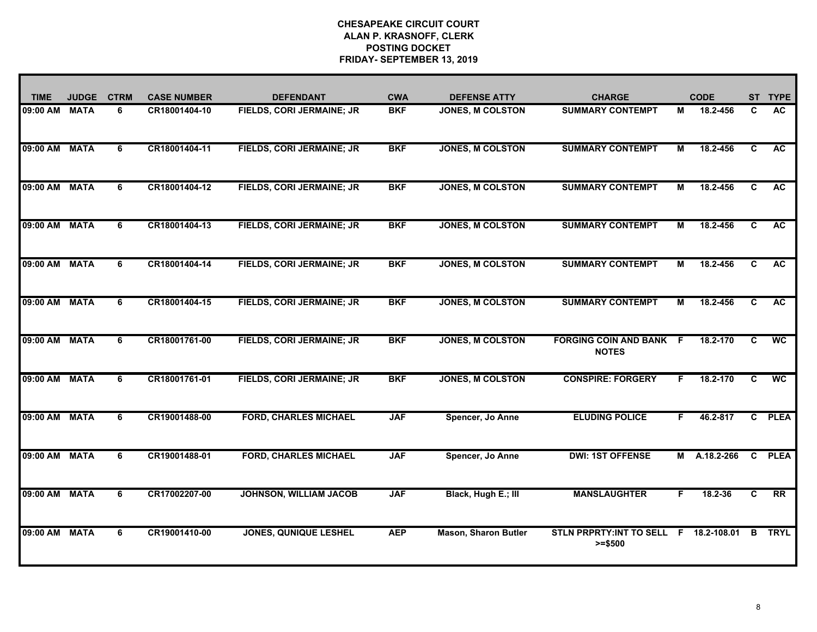| <b>TIME</b>   | <b>JUDGE</b> | <b>CTRM</b>    | <b>CASE NUMBER</b> | <b>DEFENDANT</b>                 | <b>CWA</b> | <b>DEFENSE ATTY</b>         | <b>CHARGE</b>                                  |    | <b>CODE</b>   | <b>ST</b>    | <b>TYPE</b>     |
|---------------|--------------|----------------|--------------------|----------------------------------|------------|-----------------------------|------------------------------------------------|----|---------------|--------------|-----------------|
| 09:00 AM MATA |              | 6              | CR18001404-10      | FIELDS, CORI JERMAINE; JR        | <b>BKF</b> | <b>JONES, M COLSTON</b>     | <b>SUMMARY CONTEMPT</b>                        | М  | 18.2-456      | C            | <b>AC</b>       |
| 09:00 AM MATA |              | $\overline{6}$ | CR18001404-11      | <b>FIELDS, CORI JERMAINE; JR</b> | <b>BKF</b> | <b>JONES, M COLSTON</b>     | <b>SUMMARY CONTEMPT</b>                        | М  | 18.2-456      | C            | <b>AC</b>       |
| 09:00 AM MATA |              | 6              | CR18001404-12      | FIELDS, CORI JERMAINE; JR        | <b>BKF</b> | <b>JONES, M COLSTON</b>     | <b>SUMMARY CONTEMPT</b>                        | М  | 18.2-456      | C            | <b>AC</b>       |
| 09:00 AM      | <b>MATA</b>  | 6              | CR18001404-13      | FIELDS, CORI JERMAINE; JR        | <b>BKF</b> | <b>JONES, M COLSTON</b>     | <b>SUMMARY CONTEMPT</b>                        | М  | 18.2-456      | C            | <b>AC</b>       |
| 09:00 AM MATA |              | 6              | CR18001404-14      | <b>FIELDS, CORI JERMAINE; JR</b> | <b>BKF</b> | <b>JONES, M COLSTON</b>     | <b>SUMMARY CONTEMPT</b>                        | М  | 18.2-456      | C            | <b>AC</b>       |
| 09:00 AM MATA |              | 6              | CR18001404-15      | <b>FIELDS, CORI JERMAINE; JR</b> | <b>BKF</b> | <b>JONES, M COLSTON</b>     | <b>SUMMARY CONTEMPT</b>                        | м  | 18.2-456      | C            | <b>AC</b>       |
| 09:00 AM MATA |              | 6              | CR18001761-00      | FIELDS, CORI JERMAINE; JR        | <b>BKF</b> | <b>JONES, M COLSTON</b>     | <b>FORGING COIN AND BANK F</b><br><b>NOTES</b> |    | 18.2-170      | C            | $\overline{wc}$ |
| 09:00 AM MATA |              | 6              | CR18001761-01      | FIELDS, CORI JERMAINE; JR        | <b>BKF</b> | <b>JONES, M COLSTON</b>     | <b>CONSPIRE: FORGERY</b>                       | F. | 18.2-170      | C            | <b>WC</b>       |
| 09:00 AM MATA |              | 6              | CR19001488-00      | <b>FORD, CHARLES MICHAEL</b>     | <b>JAF</b> | Spencer, Jo Anne            | <b>ELUDING POLICE</b>                          | F. | 46.2-817      | $\mathbf{c}$ | <b>PLEA</b>     |
| 09:00 AM MATA |              | 6              | CR19001488-01      | <b>FORD, CHARLES MICHAEL</b>     | <b>JAF</b> | Spencer, Jo Anne            | <b>DWI: 1ST OFFENSE</b>                        | М  | A.18.2-266    | $\mathbf{C}$ | <b>PLEA</b>     |
| 09:00 AM MATA |              | 6              | CR17002207-00      | <b>JOHNSON, WILLIAM JACOB</b>    | <b>JAF</b> | Black, Hugh E.; III         | <b>MANSLAUGHTER</b>                            | F. | 18.2-36       | C            | $\overline{RR}$ |
| 09:00 AM MATA |              | 6              | CR19001410-00      | <b>JONES, QUNIQUE LESHEL</b>     | <b>AEP</b> | <b>Mason, Sharon Butler</b> | <b>STLN PRPRTY:INT TO SELL</b><br>$>= $500$    |    | F 18.2-108.01 | В            | <b>TRYL</b>     |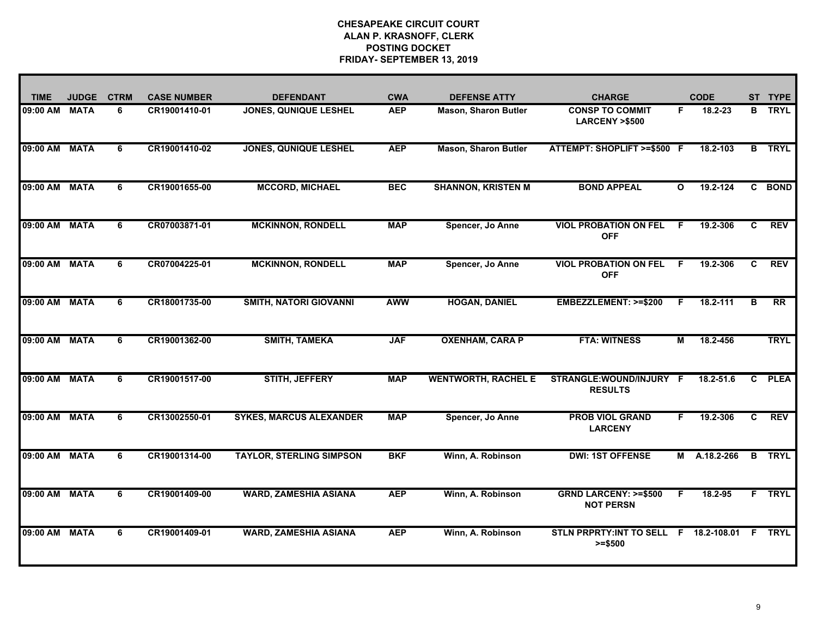| <b>TIME</b>   | <b>JUDGE</b> | <b>CTRM</b> | <b>CASE NUMBER</b> | <b>DEFENDANT</b>                | <b>CWA</b> | <b>DEFENSE ATTY</b>         | <b>CHARGE</b>                                       |          | <b>CODE</b>  | <b>ST</b>    | <b>TYPE</b>   |
|---------------|--------------|-------------|--------------------|---------------------------------|------------|-----------------------------|-----------------------------------------------------|----------|--------------|--------------|---------------|
| 09:00 AM MATA |              | 6           | CR19001410-01      | <b>JONES, QUNIQUE LESHEL</b>    | <b>AEP</b> | <b>Mason, Sharon Butler</b> | <b>CONSP TO COMMIT</b><br><b>LARCENY &gt;\$500</b>  | F.       | 18.2-23      | B.           | <b>TRYL</b>   |
| 09:00 AM MATA |              | 6           | CR19001410-02      | <b>JONES, QUNIQUE LESHEL</b>    | <b>AEP</b> | <b>Mason, Sharon Butler</b> | ATTEMPT: SHOPLIFT >=\$500 F                         |          | 18.2-103     |              | <b>B</b> TRYL |
| 09:00 AM MATA |              | 6           | CR19001655-00      | <b>MCCORD, MICHAEL</b>          | <b>BEC</b> | <b>SHANNON, KRISTEN M</b>   | <b>BOND APPEAL</b>                                  | $\Omega$ | 19.2-124     | $\mathbf{c}$ | <b>BOND</b>   |
| 09:00 AM      | <b>MATA</b>  | 6           | CR07003871-01      | <b>MCKINNON, RONDELL</b>        | <b>MAP</b> | Spencer, Jo Anne            | <b>VIOL PROBATION ON FEL</b><br><b>OFF</b>          | F.       | 19.2-306     | C.           | <b>REV</b>    |
| 09:00 AM      | <b>MATA</b>  | 6           | CR07004225-01      | <b>MCKINNON, RONDELL</b>        | <b>MAP</b> | Spencer, Jo Anne            | <b>VIOL PROBATION ON FEL</b><br><b>OFF</b>          | E        | 19.2-306     | C.           | <b>REV</b>    |
| 09:00 AM MATA |              | 6           | CR18001735-00      | <b>SMITH, NATORI GIOVANNI</b>   | <b>AWW</b> | <b>HOGAN, DANIEL</b>        | EMBEZZLEMENT: >=\$200                               | F        | 18.2-111     | B            | RR            |
| 09:00 AM MATA |              | 6           | CR19001362-00      | <b>SMITH, TAMEKA</b>            | <b>JAF</b> | <b>OXENHAM, CARA P</b>      | <b>FTA: WITNESS</b>                                 | М        | 18.2-456     |              | <b>TRYL</b>   |
| 09:00 AM      | <b>MATA</b>  | 6           | CR19001517-00      | <b>STITH, JEFFERY</b>           | <b>MAP</b> | <b>WENTWORTH, RACHEL E</b>  | STRANGLE:WOUND/INJURY F<br><b>RESULTS</b>           |          | 18.2-51.6    | C.           | <b>PLEA</b>   |
| 09:00 AM      | <b>MATA</b>  | 6           | CR13002550-01      | <b>SYKES, MARCUS ALEXANDER</b>  | <b>MAP</b> | Spencer, Jo Anne            | <b>PROB VIOL GRAND</b><br><b>LARCENY</b>            | F.       | 19.2-306     | C.           | <b>REV</b>    |
| 09:00 AM      | <b>MATA</b>  | 6           | CR19001314-00      | <b>TAYLOR, STERLING SIMPSON</b> | <b>BKF</b> | Winn, A. Robinson           | <b>DWI: 1ST OFFENSE</b>                             |          | M A.18.2-266 | B            | <b>TRYL</b>   |
| 09:00 AM MATA |              | 6           | CR19001409-00      | <b>WARD, ZAMESHIA ASIANA</b>    | <b>AEP</b> | Winn, A. Robinson           | <b>GRND LARCENY: &gt;=\$500</b><br><b>NOT PERSN</b> | F.       | 18.2-95      |              | F TRYL        |
| 09:00 AM      | <b>MATA</b>  | 6           | CR19001409-01      | <b>WARD, ZAMESHIA ASIANA</b>    | <b>AEP</b> | Winn, A. Robinson           | STLN PRPRTY: INT TO SELL F 18.2-108.01<br>$>= $500$ |          |              | F.           | <b>TRYL</b>   |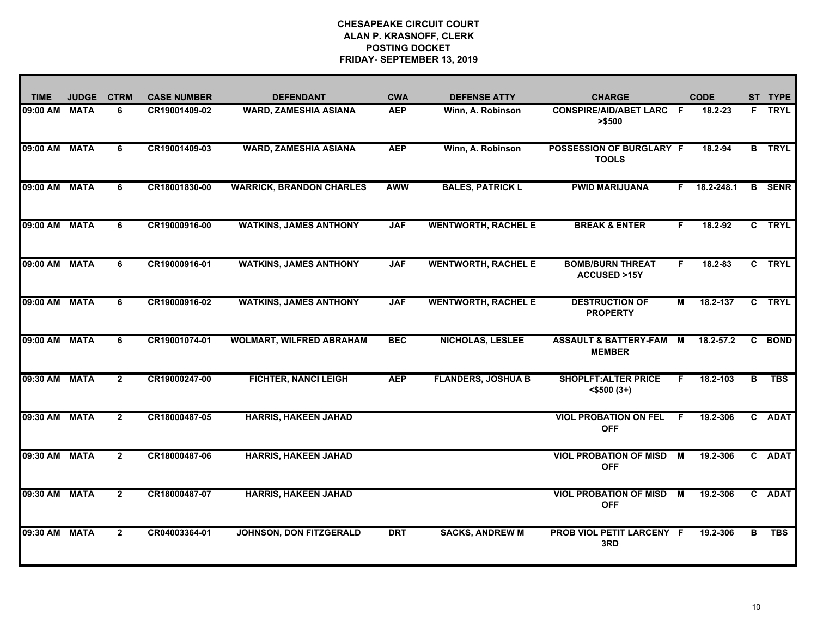| <b>TIME</b>   | <b>JUDGE</b> | <b>CTRM</b>    | <b>CASE NUMBER</b> | <b>DEFENDANT</b>                | <b>CWA</b> | <b>DEFENSE ATTY</b>        | <b>CHARGE</b>                                       |    | <b>CODE</b> |              | ST TYPE       |
|---------------|--------------|----------------|--------------------|---------------------------------|------------|----------------------------|-----------------------------------------------------|----|-------------|--------------|---------------|
| 09:00 AM      | <b>MATA</b>  | 6              | CR19001409-02      | <b>WARD, ZAMESHIA ASIANA</b>    | <b>AEP</b> | Winn, A. Robinson          | <b>CONSPIRE/AID/ABET LARC F</b><br>> \$500          |    | 18.2-23     |              | F TRYL        |
| 09:00 AM      | <b>MATA</b>  | 6              | CR19001409-03      | <b>WARD, ZAMESHIA ASIANA</b>    | <b>AEP</b> | Winn, A. Robinson          | POSSESSION OF BURGLARY F<br><b>TOOLS</b>            |    | 18.2-94     |              | <b>B</b> TRYL |
| 09:00 AM      | <b>MATA</b>  | 6              | CR18001830-00      | <b>WARRICK, BRANDON CHARLES</b> | <b>AWW</b> | <b>BALES, PATRICK L</b>    | <b>PWID MARIJUANA</b>                               | F. | 18.2-248.1  | B.           | <b>SENR</b>   |
| 09:00 AM      | <b>MATA</b>  | 6              | CR19000916-00      | <b>WATKINS, JAMES ANTHONY</b>   | <b>JAF</b> | <b>WENTWORTH, RACHEL E</b> | <b>BREAK &amp; ENTER</b>                            | F. | $18.2 - 92$ |              | C TRYL        |
| 09:00 AM      | <b>MATA</b>  | 6              | CR19000916-01      | <b>WATKINS, JAMES ANTHONY</b>   | <b>JAF</b> | <b>WENTWORTH, RACHEL E</b> | <b>BOMB/BURN THREAT</b><br><b>ACCUSED &gt;15Y</b>   | F. | 18.2-83     |              | C TRYL        |
| 09:00 AM MATA |              | 6              | CR19000916-02      | <b>WATKINS, JAMES ANTHONY</b>   | <b>JAF</b> | <b>WENTWORTH, RACHEL E</b> | <b>DESTRUCTION OF</b><br><b>PROPERTY</b>            | м  | 18.2-137    |              | C TRYL        |
| 09:00 AM MATA |              | 6              | CR19001074-01      | <b>WOLMART, WILFRED ABRAHAM</b> | <b>BEC</b> | <b>NICHOLAS, LESLEE</b>    | <b>ASSAULT &amp; BATTERY-FAM M</b><br><b>MEMBER</b> |    | 18.2-57.2   | C.           | <b>BOND</b>   |
| 09:30 AM      | <b>MATA</b>  | $\mathbf{2}$   | CR19000247-00      | <b>FICHTER, NANCI LEIGH</b>     | <b>AEP</b> | <b>FLANDERS, JOSHUA B</b>  | <b>SHOPLFT: ALTER PRICE</b><br>$<$ \$500 $(3+)$     | F. | 18.2-103    | в            | <b>TBS</b>    |
| 09:30 AM      | <b>MATA</b>  | $\mathbf{2}$   | CR18000487-05      | <b>HARRIS, HAKEEN JAHAD</b>     |            |                            | <b>VIOL PROBATION ON FEL</b><br><b>OFF</b>          | F. | 19.2-306    | $\mathbf{c}$ | <b>ADAT</b>   |
| 09:30 AM      | <b>MATA</b>  | $\mathbf{2}$   | CR18000487-06      | <b>HARRIS, HAKEEN JAHAD</b>     |            |                            | <b>VIOL PROBATION OF MISD</b><br><b>OFF</b>         | м  | 19.2-306    | C.           | <b>ADAT</b>   |
| 09:30 AM      | <b>MATA</b>  | $\overline{2}$ | CR18000487-07      | <b>HARRIS, HAKEEN JAHAD</b>     |            |                            | <b>VIOL PROBATION OF MISD</b><br><b>OFF</b>         | M  | 19.2-306    | $\mathbf{c}$ | <b>ADAT</b>   |
| 09:30 AM      | <b>MATA</b>  | $\mathbf{2}$   | CR04003364-01      | <b>JOHNSON, DON FITZGERALD</b>  | <b>DRT</b> | <b>SACKS, ANDREW M</b>     | <b>PROB VIOL PETIT LARCENY F</b><br>3RD             |    | 19.2-306    | в            | <b>TBS</b>    |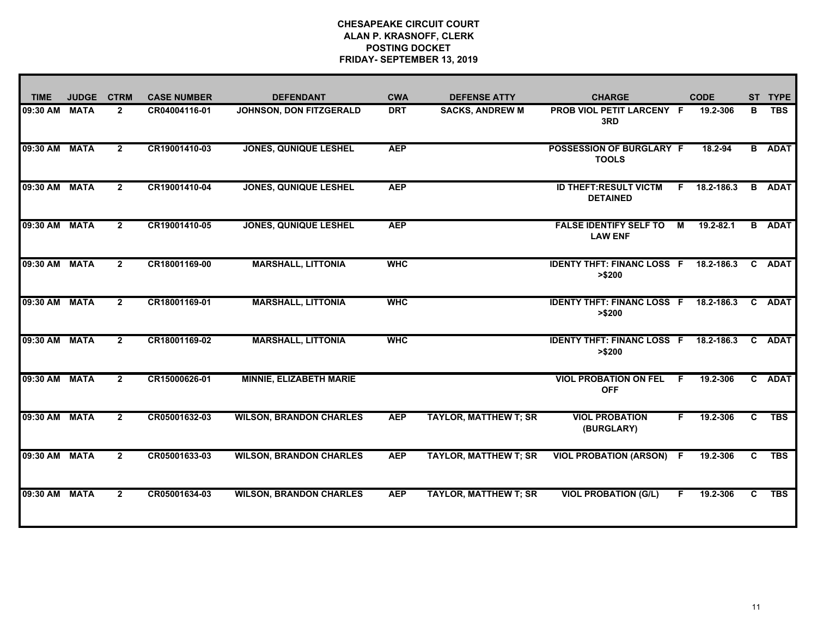| <b>TIME</b>   | <b>JUDGE</b> | <b>CTRM</b>    | <b>CASE NUMBER</b> | <b>DEFENDANT</b>               | <b>CWA</b> | <b>DEFENSE ATTY</b>          | <b>CHARGE</b>                                   |    | <b>CODE</b> | <b>ST</b> | <b>TYPE</b>   |
|---------------|--------------|----------------|--------------------|--------------------------------|------------|------------------------------|-------------------------------------------------|----|-------------|-----------|---------------|
| 09:30 AM      | <b>MATA</b>  | $\mathbf{2}$   | CR04004116-01      | JOHNSON, DON FITZGERALD        | <b>DRT</b> | <b>SACKS, ANDREW M</b>       | <b>PROB VIOL PETIT LARCENY F</b><br>3RD         |    | 19.2-306    | в         | <b>TBS</b>    |
| 09:30 AM      | <b>MATA</b>  | $\mathbf{2}$   | CR19001410-03      | <b>JONES, QUNIQUE LESHEL</b>   | <b>AEP</b> |                              | <b>POSSESSION OF BURGLARY F</b><br><b>TOOLS</b> |    | 18.2-94     |           | <b>B</b> ADAT |
| 09:30 AM      | <b>MATA</b>  | $\mathbf{2}$   | CR19001410-04      | <b>JONES, QUNIQUE LESHEL</b>   | <b>AEP</b> |                              | <b>ID THEFT:RESULT VICTM</b><br><b>DETAINED</b> | F. | 18.2-186.3  |           | <b>B</b> ADAT |
| 09:30 AM      | <b>MATA</b>  | $\mathbf{2}$   | CR19001410-05      | JONES, QUNIQUE LESHEL          | <b>AEP</b> |                              | <b>FALSE IDENTIFY SELF TO</b><br><b>LAW ENF</b> | M  | 19.2-82.1   | B.        | <b>ADAT</b>   |
| 09:30 AM      | <b>MATA</b>  | $\mathbf{2}$   | CR18001169-00      | <b>MARSHALL, LITTONIA</b>      | <b>WHC</b> |                              | <b>IDENTY THFT: FINANC LOSS F</b><br>> \$200    |    | 18.2-186.3  | C         | <b>ADAT</b>   |
| 09:30 AM      | <b>MATA</b>  | $\mathbf{2}$   | CR18001169-01      | <b>MARSHALL, LITTONIA</b>      | <b>WHC</b> |                              | <b>IDENTY THFT: FINANC LOSS F</b><br>> \$200    |    | 18.2-186.3  | C.        | <b>ADAT</b>   |
| 09:30 AM MATA |              | $\mathbf{2}$   | CR18001169-02      | <b>MARSHALL, LITTONIA</b>      | <b>WHC</b> |                              | <b>IDENTY THFT: FINANC LOSS F</b><br>> \$200    |    | 18.2-186.3  | C.        | <b>ADAT</b>   |
| 09:30 AM      | <b>MATA</b>  | $\overline{2}$ | CR15000626-01      | <b>MINNIE, ELIZABETH MARIE</b> |            |                              | <b>VIOL PROBATION ON FEL</b><br><b>OFF</b>      | F  | 19.2-306    |           | C ADAT        |
| 09:30 AM      | <b>MATA</b>  | $\overline{2}$ | CR05001632-03      | <b>WILSON, BRANDON CHARLES</b> | <b>AEP</b> | <b>TAYLOR, MATTHEW T; SR</b> | <b>VIOL PROBATION</b><br>(BURGLARY)             | F  | 19.2-306    | C.        | <b>TBS</b>    |
| 09:30 AM MATA |              | $\overline{2}$ | CR05001633-03      | <b>WILSON, BRANDON CHARLES</b> | <b>AEP</b> | <b>TAYLOR, MATTHEW T; SR</b> | <b>VIOL PROBATION (ARSON) F</b>                 |    | 19.2-306    | C.        | <b>TBS</b>    |
| 09:30 AM      | <b>MATA</b>  | $\overline{2}$ | CR05001634-03      | <b>WILSON, BRANDON CHARLES</b> | <b>AEP</b> | <b>TAYLOR, MATTHEW T; SR</b> | <b>VIOL PROBATION (G/L)</b>                     | F. | 19.2-306    | C.        | <b>TBS</b>    |